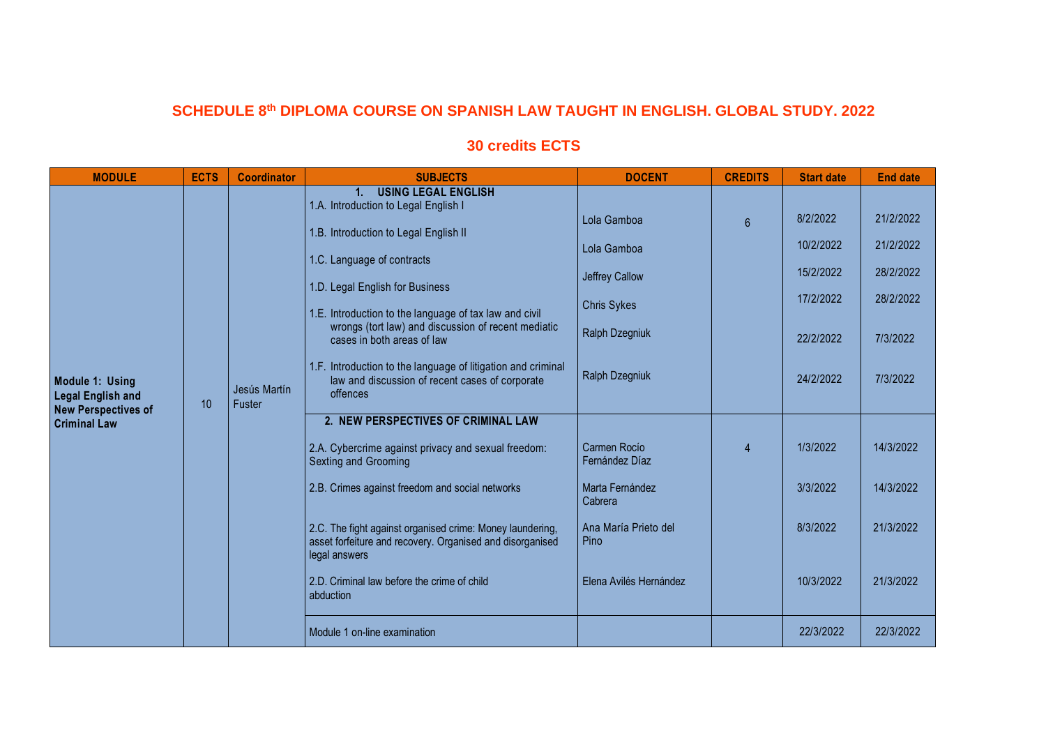## **SCHEDULE 8th DIPLOMA COURSE ON SPANISH LAW TAUGHT IN ENGLISH. GLOBAL STUDY. 2022**

## **30 credits ECTS**

| <b>MODULE</b>                                                             | <b>ECTS</b> | <b>Coordinator</b>     | <b>SUBJECTS</b>                                                                                                                                                                                                                                                                                                                   | <b>DOCENT</b>                                                                               | <b>CREDITS</b>  | <b>Start date</b>                                            | <b>End date</b>                                              |
|---------------------------------------------------------------------------|-------------|------------------------|-----------------------------------------------------------------------------------------------------------------------------------------------------------------------------------------------------------------------------------------------------------------------------------------------------------------------------------|---------------------------------------------------------------------------------------------|-----------------|--------------------------------------------------------------|--------------------------------------------------------------|
|                                                                           | 10          | Jesús Martín<br>Fuster | <b>USING LEGAL ENGLISH</b><br>1.<br>1.A. Introduction to Legal English I<br>1.B. Introduction to Legal English II<br>1.C. Language of contracts<br>1.D. Legal English for Business<br>1.E. Introduction to the language of tax law and civil<br>wrongs (tort law) and discussion of recent mediatic<br>cases in both areas of law | Lola Gamboa<br>Lola Gamboa<br><b>Jeffrey Callow</b><br><b>Chris Sykes</b><br>Ralph Dzegniuk | $6\overline{6}$ | 8/2/2022<br>10/2/2022<br>15/2/2022<br>17/2/2022<br>22/2/2022 | 21/2/2022<br>21/2/2022<br>28/2/2022<br>28/2/2022<br>7/3/2022 |
| Module 1: Using<br><b>Legal English and</b><br><b>New Perspectives of</b> |             |                        | 1.F. Introduction to the language of litigation and criminal<br>law and discussion of recent cases of corporate<br>offences                                                                                                                                                                                                       | Ralph Dzegniuk                                                                              |                 | 24/2/2022                                                    | 7/3/2022                                                     |
| <b>Criminal Law</b>                                                       |             |                        | 2. NEW PERSPECTIVES OF CRIMINAL LAW<br>2.A. Cybercrime against privacy and sexual freedom:<br><b>Sexting and Grooming</b>                                                                                                                                                                                                         | Carmen Rocio<br>Fernández Díaz                                                              | $\overline{4}$  | 1/3/2022                                                     | 14/3/2022                                                    |
|                                                                           |             |                        | 2.B. Crimes against freedom and social networks                                                                                                                                                                                                                                                                                   | Marta Fernández<br>Cabrera                                                                  |                 | 3/3/2022                                                     | 14/3/2022                                                    |
|                                                                           |             |                        | 2.C. The fight against organised crime: Money laundering,<br>asset forfeiture and recovery. Organised and disorganised<br>legal answers                                                                                                                                                                                           | Ana María Prieto del<br>Pino                                                                |                 | 8/3/2022                                                     | 21/3/2022                                                    |
|                                                                           |             |                        | 2.D. Criminal law before the crime of child<br>abduction                                                                                                                                                                                                                                                                          | Elena Avilés Hernández                                                                      |                 | 10/3/2022                                                    | 21/3/2022                                                    |
|                                                                           |             |                        | Module 1 on-line examination                                                                                                                                                                                                                                                                                                      |                                                                                             |                 | 22/3/2022                                                    | 22/3/2022                                                    |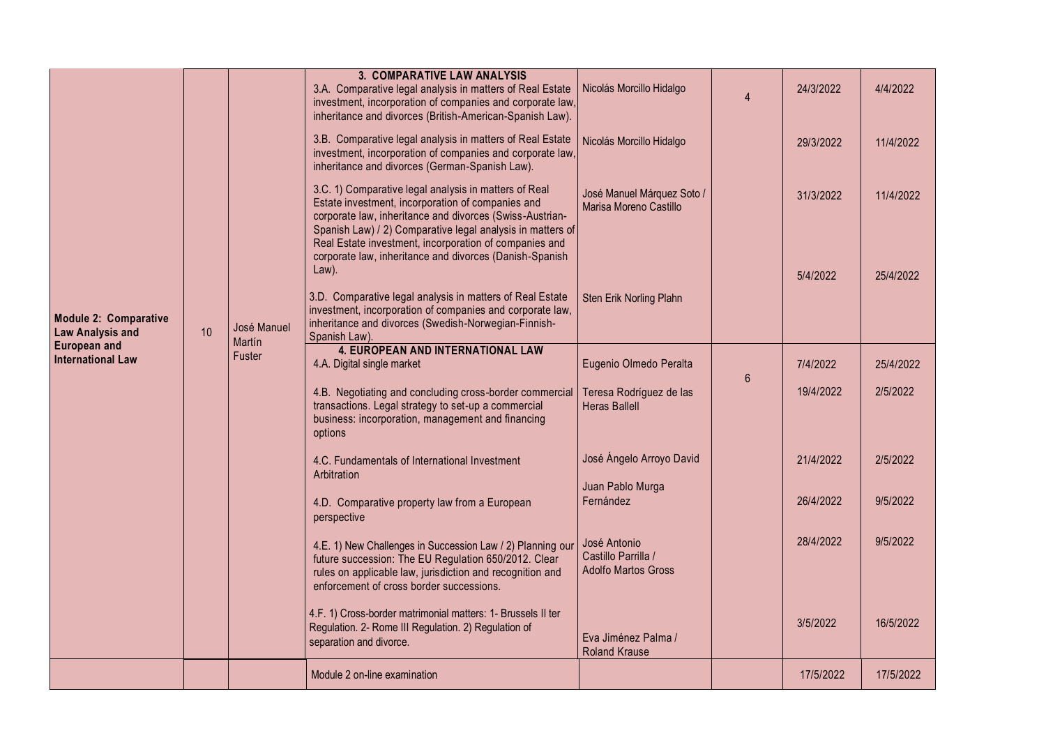|                                                                                                            |    |                                 | 3. COMPARATIVE LAW ANALYSIS                                                                                                                                                                                                                                                                                                                               |                                                                   |                |           |           |
|------------------------------------------------------------------------------------------------------------|----|---------------------------------|-----------------------------------------------------------------------------------------------------------------------------------------------------------------------------------------------------------------------------------------------------------------------------------------------------------------------------------------------------------|-------------------------------------------------------------------|----------------|-----------|-----------|
| <b>Module 2: Comparative</b><br><b>Law Analysis and</b><br><b>European and</b><br><b>International Law</b> | 10 | José Manuel<br>Martín<br>Fuster | 3.A. Comparative legal analysis in matters of Real Estate<br>investment, incorporation of companies and corporate law,<br>inheritance and divorces (British-American-Spanish Law).                                                                                                                                                                        | Nicolás Morcillo Hidalgo                                          | Δ              | 24/3/2022 | 4/4/2022  |
|                                                                                                            |    |                                 | 3.B. Comparative legal analysis in matters of Real Estate<br>investment, incorporation of companies and corporate law,<br>inheritance and divorces (German-Spanish Law).                                                                                                                                                                                  | Nicolás Morcillo Hidalgo                                          |                | 29/3/2022 | 11/4/2022 |
|                                                                                                            |    |                                 | 3.C. 1) Comparative legal analysis in matters of Real<br>Estate investment, incorporation of companies and<br>corporate law, inheritance and divorces (Swiss-Austrian-<br>Spanish Law) / 2) Comparative legal analysis in matters of<br>Real Estate investment, incorporation of companies and<br>corporate law, inheritance and divorces (Danish-Spanish | José Manuel Márquez Soto /<br>Marisa Moreno Castillo              |                | 31/3/2022 | 11/4/2022 |
|                                                                                                            |    |                                 | Law).                                                                                                                                                                                                                                                                                                                                                     |                                                                   |                | 5/4/2022  | 25/4/2022 |
|                                                                                                            |    |                                 | 3.D. Comparative legal analysis in matters of Real Estate<br>investment, incorporation of companies and corporate law,<br>inheritance and divorces (Swedish-Norwegian-Finnish-                                                                                                                                                                            | Sten Erik Norling Plahn                                           |                |           |           |
|                                                                                                            |    |                                 | Spanish Law).<br><b>4. EUROPEAN AND INTERNATIONAL LAW</b>                                                                                                                                                                                                                                                                                                 |                                                                   |                |           |           |
|                                                                                                            |    |                                 | 4.A. Digital single market                                                                                                                                                                                                                                                                                                                                | Eugenio Olmedo Peralta                                            | $6\phantom{1}$ | 7/4/2022  | 25/4/2022 |
|                                                                                                            |    |                                 | 4.B. Negotiating and concluding cross-border commercial<br>transactions. Legal strategy to set-up a commercial<br>business: incorporation, management and financing<br>options                                                                                                                                                                            | Teresa Rodríguez de las<br><b>Heras Ballell</b>                   |                | 19/4/2022 | 2/5/2022  |
|                                                                                                            |    |                                 | 4.C. Fundamentals of International Investment<br>Arbitration                                                                                                                                                                                                                                                                                              | José Ángelo Arroyo David                                          |                | 21/4/2022 | 2/5/2022  |
|                                                                                                            |    |                                 | 4.D. Comparative property law from a European<br>perspective                                                                                                                                                                                                                                                                                              | Juan Pablo Murga<br>Fernández                                     |                | 26/4/2022 | 9/5/2022  |
|                                                                                                            |    |                                 | 4.E. 1) New Challenges in Succession Law / 2) Planning our<br>future succession: The EU Regulation 650/2012. Clear<br>rules on applicable law, jurisdiction and recognition and<br>enforcement of cross border successions.                                                                                                                               | José Antonio<br>Castillo Parrilla /<br><b>Adolfo Martos Gross</b> |                | 28/4/2022 | 9/5/2022  |
|                                                                                                            |    |                                 | 4.F. 1) Cross-border matrimonial matters: 1- Brussels II ter<br>Regulation. 2- Rome III Regulation. 2) Regulation of<br>separation and divorce.                                                                                                                                                                                                           | Eva Jiménez Palma /<br><b>Roland Krause</b>                       |                | 3/5/2022  | 16/5/2022 |
|                                                                                                            |    |                                 | Module 2 on-line examination                                                                                                                                                                                                                                                                                                                              |                                                                   |                | 17/5/2022 | 17/5/2022 |